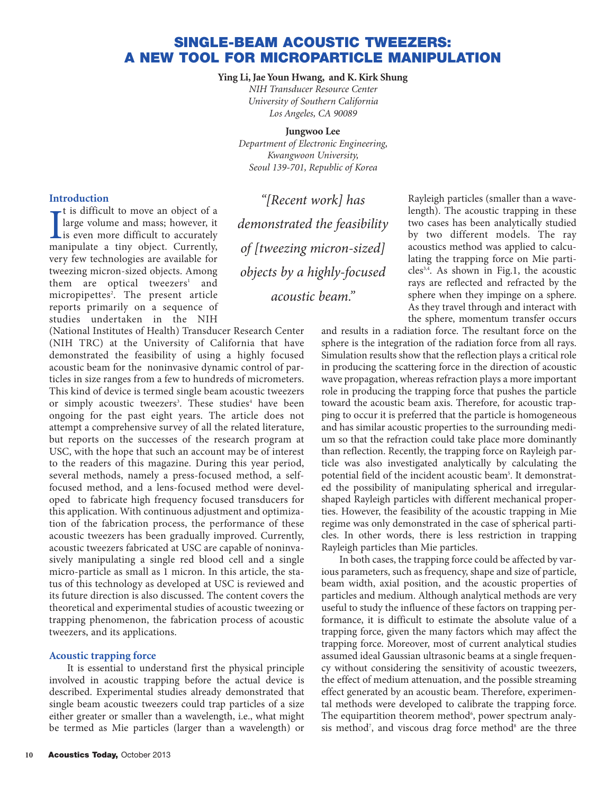# **SINGLE-BEAM ACOUSTIC TWEEZERS: A NEW TOOL FOR MICROPARTICLE MANIPULATION**

**Ying Li, Jae Youn Hwang, and K. Kirk Shung**

*NIH Transducer Resource Center University of Southern California Los Angeles, CA 90089*

**Jungwoo Lee**

*Department of Electronic Engineering, Kwangwoon University, Seoul 139-701, Republic of Korea*

# **Introduction**

It is difficult to move an object of a<br>large volume and mass; however, it<br>is even more difficult to accurately<br>manipulate a tiny object. Currently t is difficult to move an object of a large volume and mass; however, it manipulate a tiny object. Currently, very few technologies are available for tweezing micron-sized objects. Among them are optical tweezers<sup>1</sup> and micropipettes<sup>2</sup>. The present article reports primarily on a sequence of studies undertaken in the NIH

(National Institutes of Health) Transducer Research Center (NIH TRC) at the University of California that have demonstrated the feasibility of using a highly focused acoustic beam for the noninvasive dynamic control of particles in size ranges from a few to hundreds of micrometers. This kind of device is termed single beam acoustic tweezers or simply acoustic tweezers<sup>3</sup>. These studies<sup>4</sup> have been ongoing for the past eight years. The article does not attempt a comprehensive survey of all the related literature, but reports on the successes of the research program at USC, with the hope that such an account may be of interest to the readers of this magazine. During this year period, several methods, namely a press-focused method, a selffocused method, and a lens-focused method were developed to fabricate high frequency focused transducers for this application. With continuous adjustment and optimization of the fabrication process, the performance of these acoustic tweezers has been gradually improved. Currently, acoustic tweezers fabricated at USC are capable of noninvasively manipulating a single red blood cell and a single micro-particle as small as 1 micron. In this article, the status of this technology as developed at USC is reviewed and its future direction is also discussed. The content covers the theoretical and experimental studies of acoustic tweezing or trapping phenomenon, the fabrication process of acoustic tweezers, and its applications.

# **Acoustic trapping force**

It is essential to understand first the physical principle involved in acoustic trapping before the actual device is described. Experimental studies already demonstrated that single beam acoustic tweezers could trap particles of a size either greater or smaller than a wavelength, i.e., what might be termed as Mie particles (larger than a wavelength) or

*"[Recent work] has demonstrated the feasibility of [tweezing micron-sized] objects by a highly-focused acoustic beam."*

Rayleigh particles (smaller than a wavelength). The acoustic trapping in these two cases has been analytically studied by two different models. The ray acoustics method was applied to calculating the trapping force on Mie particles3,4. As shown in Fig.1, the acoustic rays are reflected and refracted by the sphere when they impinge on a sphere. As they travel through and interact with the sphere, momentum transfer occurs

and results in a radiation force. The resultant force on the sphere is the integration of the radiation force from all rays. Simulation results show that the reflection plays a critical role in producing the scattering force in the direction of acoustic wave propagation, whereas refraction plays a more important role in producing the trapping force that pushes the particle toward the acoustic beam axis. Therefore, for acoustic trapping to occur it is preferred that the particle is homogeneous and has similar acoustic properties to the surrounding medium so that the refraction could take place more dominantly than reflection. Recently, the trapping force on Rayleigh particle was also investigated analytically by calculating the potential field of the incident acoustic beam<sup>5</sup>. It demonstrated the possibility of manipulating spherical and irregularshaped Rayleigh particles with different mechanical properties. However, the feasibility of the acoustic trapping in Mie regime was only demonstrated in the case of spherical particles. In other words, there is less restriction in trapping Rayleigh particles than Mie particles.

In both cases, the trapping force could be affected by various parameters, such as frequency, shape and size of particle, beam width, axial position, and the acoustic properties of particles and medium. Although analytical methods are very useful to study the influence of these factors on trapping performance, it is difficult to estimate the absolute value of a trapping force, given the many factors which may affect the trapping force. Moreover, most of current analytical studies assumed ideal Gaussian ultrasonic beams at a single frequency without considering the sensitivity of acoustic tweezers, the effect of medium attenuation, and the possible streaming effect generated by an acoustic beam. Therefore, experimental methods were developed to calibrate the trapping force. The equipartition theorem method<sup>6</sup>, power spectrum analysis method<sup>7</sup>, and viscous drag force method<sup>8</sup> are the three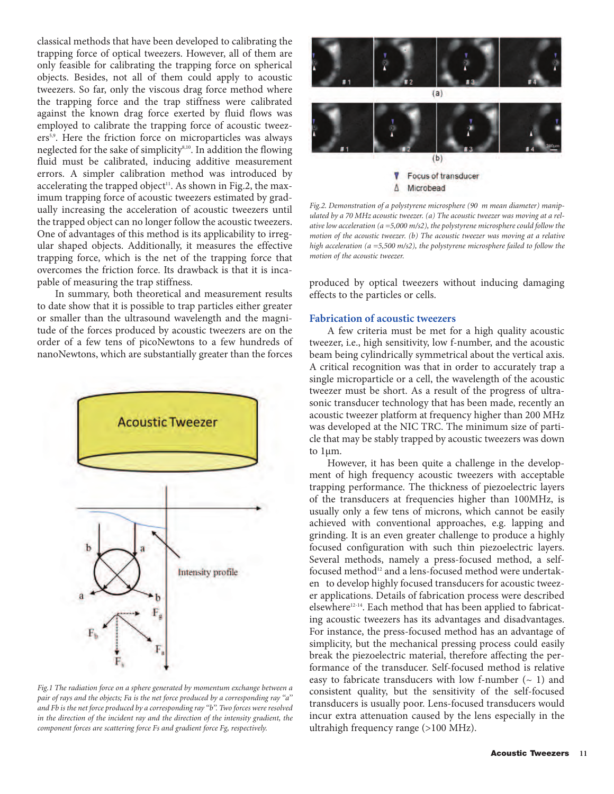classical methods that have been developed to calibrating the trapping force of optical tweezers. However, all of them are only feasible for calibrating the trapping force on spherical objects. Besides, not all of them could apply to acoustic tweezers. So far, only the viscous drag force method where the trapping force and the trap stiffness were calibrated against the known drag force exerted by fluid flows was employed to calibrate the trapping force of acoustic tweezers<sup>5,9</sup>. Here the friction force on microparticles was always neglected for the sake of simplicity<sup>8,10</sup>. In addition the flowing fluid must be calibrated, inducing additive measurement errors. A simpler calibration method was introduced by accelerating the trapped object<sup>11</sup>. As shown in Fig.2, the maximum trapping force of acoustic tweezers estimated by gradually increasing the acceleration of acoustic tweezers until the trapped object can no longer follow the acoustic tweezers. One of advantages of this method is its applicability to irregular shaped objects. Additionally, it measures the effective trapping force, which is the net of the trapping force that overcomes the friction force. Its drawback is that it is incapable of measuring the trap stiffness.

In summary, both theoretical and measurement results to date show that it is possible to trap particles either greater or smaller than the ultrasound wavelength and the magnitude of the forces produced by acoustic tweezers are on the order of a few tens of picoNewtons to a few hundreds of nanoNewtons, which are substantially greater than the forces



*Fig.1 The radiation force on a sphere generated by momentum exchange between a pair of rays and the objects; Fa is the net force produced by a corresponding ray ''a'' and Fb is the net force produced by a corresponding ray ''b''. Two forces were resolved in the direction of the incident ray and the direction of the intensity gradient, the component forces are scattering force Fs and gradient force Fg, respectively.*



*Fig.2. Demonstration of a polystyrene microsphere (90 m mean diameter) manipulated by a 70 MHz acoustic tweezer. (a) The acoustic tweezer was moving at a relative low acceleration (a =5,000 m/s2), the polystyrene microsphere could follow the motion of the acoustic tweezer. (b) The acoustic tweezer was moving at a relative high acceleration (a =5,500 m/s2), the polystyrene microsphere failed to follow the motion of the acoustic tweezer.*

produced by optical tweezers without inducing damaging effects to the particles or cells.

#### **Fabrication of acoustic tweezers**

A few criteria must be met for a high quality acoustic tweezer, i.e., high sensitivity, low f-number, and the acoustic beam being cylindrically symmetrical about the vertical axis. A critical recognition was that in order to accurately trap a single microparticle or a cell, the wavelength of the acoustic tweezer must be short. As a result of the progress of ultrasonic transducer technology that has been made, recently an acoustic tweezer platform at frequency higher than 200 MHz was developed at the NIC TRC. The minimum size of particle that may be stably trapped by acoustic tweezers was down to 1μm.

However, it has been quite a challenge in the development of high frequency acoustic tweezers with acceptable trapping performance. The thickness of piezoelectric layers of the transducers at frequencies higher than 100MHz, is usually only a few tens of microns, which cannot be easily achieved with conventional approaches, e.g. lapping and grinding. It is an even greater challenge to produce a highly focused configuration with such thin piezoelectric layers. Several methods, namely a press-focused method, a selffocused method<sup>12</sup> and a lens-focused method were undertaken to develop highly focused transducers for acoustic tweezer applications. Details of fabrication process were described elsewhere<sup>12-14</sup>. Each method that has been applied to fabricating acoustic tweezers has its advantages and disadvantages. For instance, the press-focused method has an advantage of simplicity, but the mechanical pressing process could easily break the piezoelectric material, therefore affecting the performance of the transducer. Self-focused method is relative easy to fabricate transducers with low f-number  $(-1)$  and consistent quality, but the sensitivity of the self-focused transducers is usually poor. Lens-focused transducers would incur extra attenuation caused by the lens especially in the ultrahigh frequency range (>100 MHz).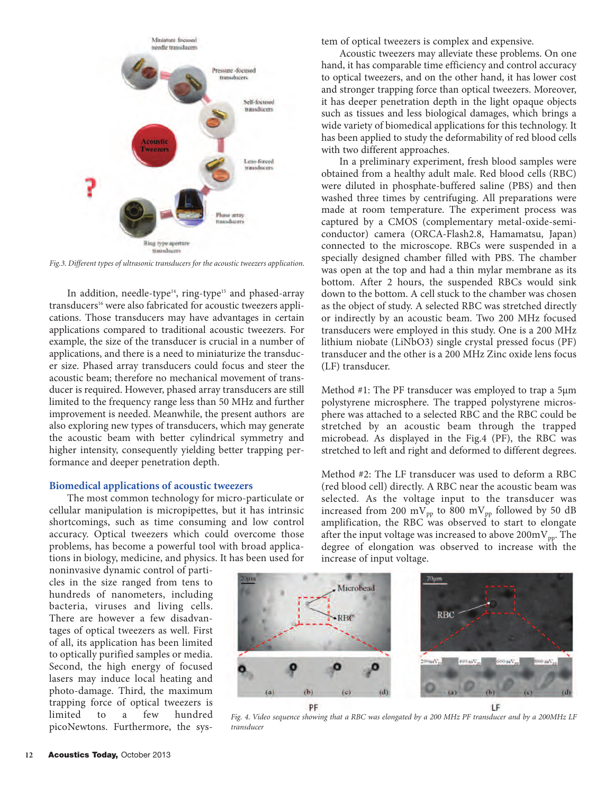

*Fig.3. Different types of ultrasonic transducers for the acoustic tweezers application.*

In addition, needle-type $14$ , ring-type $15$  and phased-array transducers<sup>16</sup> were also fabricated for acoustic tweezers applications. Those transducers may have advantages in certain applications compared to traditional acoustic tweezers. For example, the size of the transducer is crucial in a number of applications, and there is a need to miniaturize the transducer size. Phased array transducers could focus and steer the acoustic beam; therefore no mechanical movement of transducer is required. However, phased array transducers are still limited to the frequency range less than 50 MHz and further improvement is needed. Meanwhile, the present authors are also exploring new types of transducers, which may generate the acoustic beam with better cylindrical symmetry and higher intensity, consequently yielding better trapping performance and deeper penetration depth.

#### **Biomedical applications of acoustic tweezers**

The most common technology for micro-particulate or cellular manipulation is micropipettes, but it has intrinsic shortcomings, such as time consuming and low control accuracy. Optical tweezers which could overcome those problems, has become a powerful tool with broad applications in biology, medicine, and physics. It has been used for

noninvasive dynamic control of particles in the size ranged from tens to hundreds of nanometers, including bacteria, viruses and living cells. There are however a few disadvantages of optical tweezers as well. First of all, its application has been limited to optically purified samples or media. Second, the high energy of focused lasers may induce local heating and photo-damage. Third, the maximum trapping force of optical tweezers is limited to a few hundred picoNewtons. Furthermore, the system of optical tweezers is complex and expensive.

Acoustic tweezers may alleviate these problems. On one hand, it has comparable time efficiency and control accuracy to optical tweezers, and on the other hand, it has lower cost and stronger trapping force than optical tweezers. Moreover, it has deeper penetration depth in the light opaque objects such as tissues and less biological damages, which brings a wide variety of biomedical applications for this technology. It has been applied to study the deformability of red blood cells with two different approaches.

In a preliminary experiment, fresh blood samples were obtained from a healthy adult male. Red blood cells (RBC) were diluted in phosphate-buffered saline (PBS) and then washed three times by centrifuging. All preparations were made at room temperature. The experiment process was captured by a CMOS (complementary metal-oxide-semiconductor) camera (ORCA-Flash2.8, Hamamatsu, Japan) connected to the microscope. RBCs were suspended in a specially designed chamber filled with PBS. The chamber was open at the top and had a thin mylar membrane as its bottom. After 2 hours, the suspended RBCs would sink down to the bottom. A cell stuck to the chamber was chosen as the object of study. A selected RBC was stretched directly or indirectly by an acoustic beam. Two 200 MHz focused transducers were employed in this study. One is a 200 MHz lithium niobate (LiNbO3) single crystal pressed focus (PF) transducer and the other is a 200 MHz Zinc oxide lens focus (LF) transducer.

Method #1: The PF transducer was employed to trap a 5μm polystyrene microsphere. The trapped polystyrene microsphere was attached to a selected RBC and the RBC could be stretched by an acoustic beam through the trapped microbead. As displayed in the Fig.4 (PF), the RBC was stretched to left and right and deformed to different degrees.

Method #2: The LF transducer was used to deform a RBC (red blood cell) directly. A RBC near the acoustic beam was selected. As the voltage input to the transducer was increased from 200 mV<sub>pp</sub> to 800 mV<sub>pp</sub> followed by 50 dB amplification, the RBC was observed to start to elongate after the input voltage was increased to above  $200 \text{mV}_{\text{pp}}$ . The degree of elongation was observed to increase with the increase of input voltage.



*Fig. 4. Video sequence showing that a RBC was elongated by a 200 MHz PF transducer and by a 200MHz LF transducer*